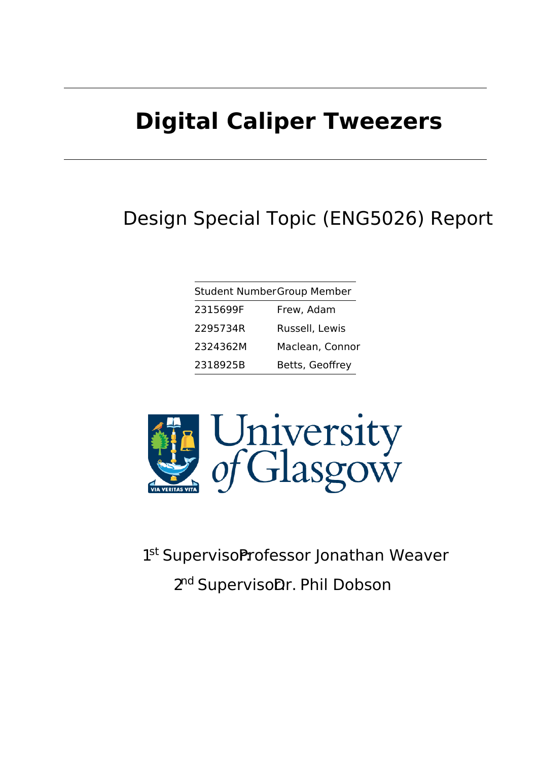# **Digital Caliper Tweezers**

### Design Special Topic (ENG5026) Report

| <b>Student NumberGroup Member</b> |                 |
|-----------------------------------|-----------------|
| 2315699F                          | Frew, Adam      |
| 2295734R                          | Russell, Lewis  |
| 2324362M                          | Maclean, Connor |
| 2318925B                          | Betts, Geoffrey |



1st SupervisoProfessor Jonathan Weaver 2<sup>nd</sup> SupervisoDr. Phil Dobson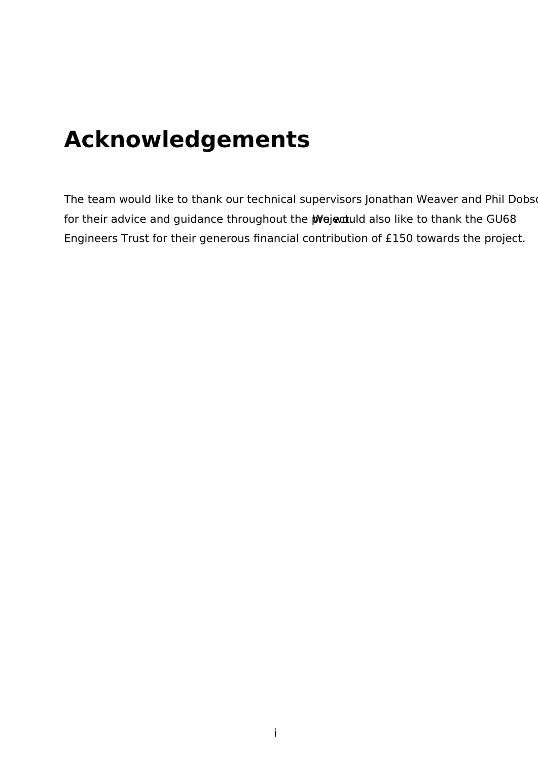## **Acknowledgements**

The team would like to thank our technical supervisors Jonathan Weaver and Phil Dobs for their advice and guidance throughout the **prejectual also like to thank the GU68** Engineers Trust for their generous financial contribution of £150 towards the project.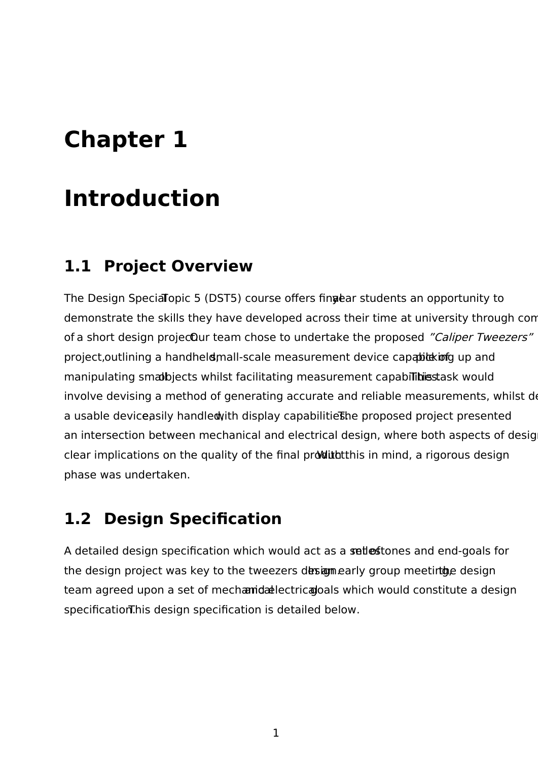# **Introduction**

### **1.1 Project Overview**

The Design Special Topic 5 (DST5) course offers fingear students an opportunity to demonstrate the skills they have developed across their time at university through con of a short design projecuur team chose to undertake the proposed "Caliper Tweezers" project, outlining a handheld mall-scale measurement device capable of picking up and manipulating smalbjects whilst facilitating measurement capabilities ask would involve devising a method of generating accurate and reliable measurements, whilst de a usable deviceasily handled with display capabilities be proposed project presented an intersection between mechanical and electrical design, where both aspects of desig clear implications on the quality of the final product this in mind, a rigorous design phase was undertaken.

### **1.2 Design Specification**

A detailed design specification which would act as a set less ones and end-goals for the design project was key to the tweezers desigmearly group meeting design. team agreed upon a set of mechanidal ectrical oals which would constitute a design specification. This design specification is detailed below.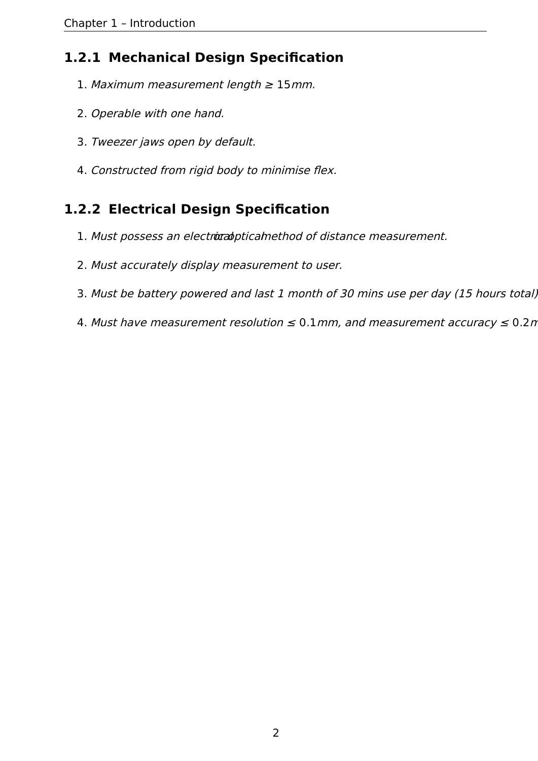#### **1.2.1 Mechanical Design Specification**

- 1. Maximum measurement length  $\geq 15$ mm.
- 2. Operable with one hand.
- 3. Tweezer jaws open by default.
- 4. Constructed from rigid body to minimise flex.

#### **1.2.2 Electrical Design Specification**

- 1. Must possess an electrocal ptical method of distance measurement.
- 2. Must accurately display measurement to user.
- 3. Must be battery powered and last 1 month of 30 mins use per day (15 hours total).
- 4. Must have measurement resolution  $\leq 0.1$  mm, and measurement accuracy  $\leq 0.2$  n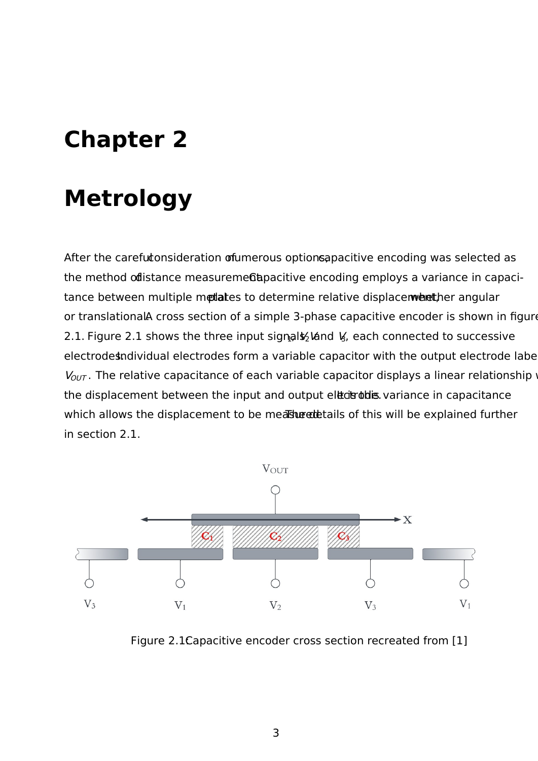# **Metrology**

After the carefutonsideration ofumerous optionsapacitive encoding was selected as the method odistance measuremed apacitive encoding employs a variance in capacitance between multiple metales to determine relative displace were there angular or translational Across section of a simple 3-phase capacitive encoder is shown in figure 2.1. Figure 2.1 shows the three input signals ight  $\frac{1}{2}$  and  $\frac{1}{2}$ , each connected to successive electrodesndividual electrodes form a variable capacitor with the output electrode labe  $V_{OUT}$ . The relative capacitance of each variable capacitor displays a linear relationship the displacement between the input and output electrodus. variance in capacitance which allows the displacement to be measured that is of this will be explained further in section 2.1.



Figure 2.1Capacitive encoder cross section recreated from [1]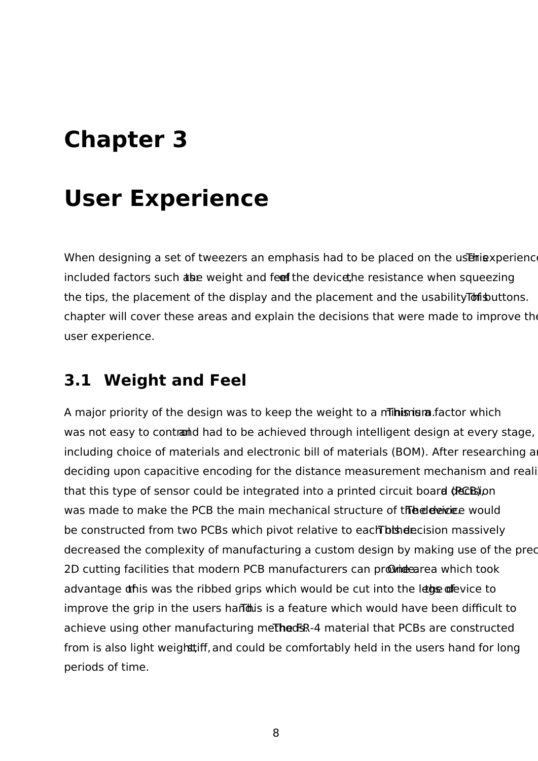# **User Experience**

When designing a set of tweezers an emphasis had to be placed on the user experience. included factors such abe weight and feef the device, he resistance when squeezing the tips, the placement of the display and the placement and the usability To fishultons. chapter will cover these areas and explain the decisions that were made to improve the user experience.

### **3.1 Weight and Feel**

A major priority of the design was to keep the weight to a minimum. Factor which was not easy to contranted had to be achieved through intelligent design at every stage, including choice of materials and electronic bill of materials (BOM). After researching a deciding upon capacitive encoding for the distance measurement mechanism and reali that this type of sensor could be integrated into a printed circuit board (PCCB) ion was made to make the PCB the main mechanical structure of the elevice would be constructed from two PCBs which pivot relative to each bis decision massively decreased the complexity of manufacturing a custom design by making use of the precision 2D cutting facilities that modern PCB manufacturers can provide area which took advantage othis was the ribbed grips which would be cut into the legs of evice to improve the grip in the users harthis is a feature which would have been difficult to achieve using other manufacturing methods. The material that PCBs are constructed from is also light weight that and could be comfortably held in the users hand for long periods of time.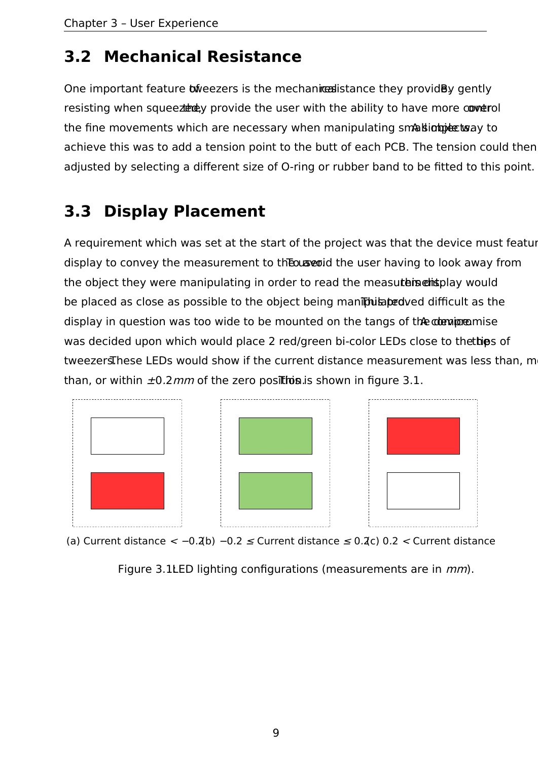#### **3.2 Mechanical Resistance**

One important feature *the tweezers* is the mechanice these they providely gently resisting when squee they provide the user with the ability to have more cover rol the fine movements which are necessary when manipulating small integration achieve this was to add a tension point to the butt of each PCB. The tension could then adjusted by selecting a different size of O-ring or rubber band to be fitted to this point.

### **3.3 Display Placement**

A requirement which was set at the start of the project was that the device must feature display to convey the measurement to the user having to look away from the object they were manipulating in order to read the measuter entity would be placed as close as possible to the object being manipulated ved difficult as the display in question was too wide to be mounted on the tangs of the deminemise was decided upon which would place 2 red/green bi-color LEDs close to the thips of tweezers. These LEDs would show if the current distance measurement was less than, more than, or within  $\pm 0.2$  mm of the zero position is shown in figure 3.1.



(a) Current distance < −0.2(b) <sup>−</sup>0.2 ≤ Current distance ≤ 0.2(c) 0.2 <sup>&</sup>lt; Current distance

Figure 3.1LED lighting configurations (measurements are in  $mm$ ).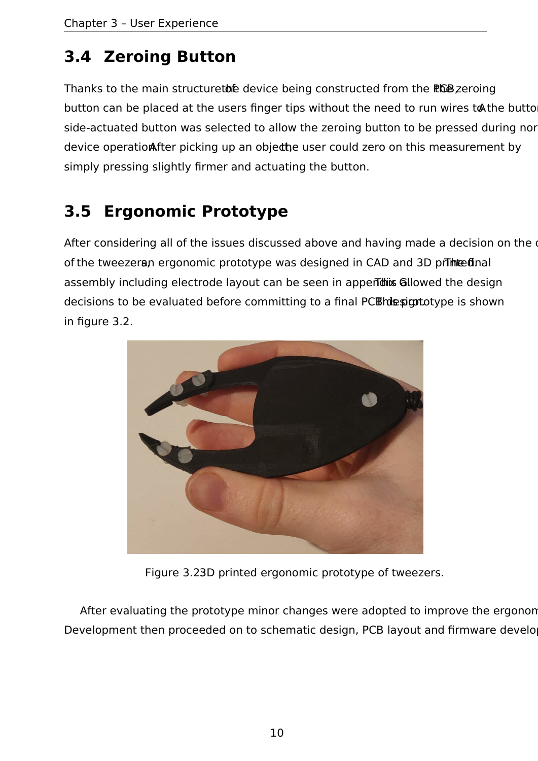### **3.4 Zeroing Button**

Thanks to the main structuretore device being constructed from the PCB zeroing button can be placed at the users finger tips without the need to run wires to the butto side-actuated button was selected to allow the zeroing button to be pressed during nor device operationester picking up an objecthe user could zero on this measurement by simply pressing slightly firmer and actuating the button.

### **3.5 Ergonomic Prototype**

After considering all of the issues discussed above and having made a decision on the of the tweezeran ergonomic prototype was designed in CAD and 3D printed. assembly including electrode layout can be seen in apper this allowed the design decisions to be evaluated before committing to a final PCE designtotype is shown in figure 3.2.



Figure 3.23D printed ergonomic prototype of tweezers.

After evaluating the prototype minor changes were adopted to improve the ergonon Development then proceeded on to schematic design, PCB layout and firmware develo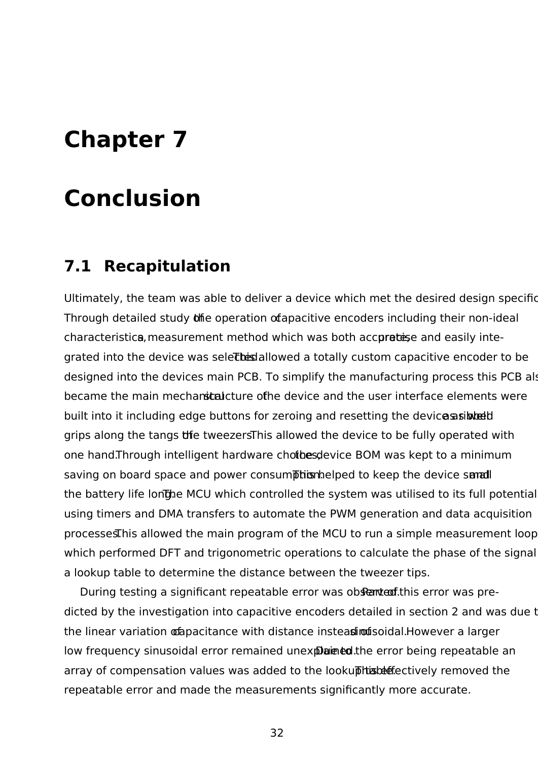### **Conclusion**

#### **7.1 Recapitulation**

Ultimately, the team was able to deliver a device which met the desired design specific Through detailed study  $\theta$  the operation of apacitive encoders including their non-ideal characteristica, measurement method which was both accuratiese and easily integrated into the device was seleter allowed a totally custom capacitive encoder to be designed into the devices main PCB. To simplify the manufacturing process this PCB also became the main mechanical structure of the device and the user interface elements were built into it including edge buttons for zeroing and resetting the device as intered grips along the tangs the tweezers.This allowed the device to be fully operated with one hand.Through intelligent hardware chothes device BOM was kept to a minimum saving on board space and power consumption. The leadstranger the device small the battery life longhe MCU which controlled the system was utilised to its full potential using timers and DMA transfers to automate the PWM generation and data acquisition processes.This allowed the main program of the MCU to run a simple measurement loop which performed DFT and trigonometric operations to calculate the phase of the signal a lookup table to determine the distance between the tweezer tips.

During testing a significant repeatable error was obsented this error was predicted by the investigation into capacitive encoders detailed in section 2 and was due to the linear variation **of**apacitance with distance instead of solidal.However a larger low frequency sinusoidal error remained unexplained the error being repeatable an array of compensation values was added to the lookuphtis before the the repeatable error and made the measurements significantly more accurate.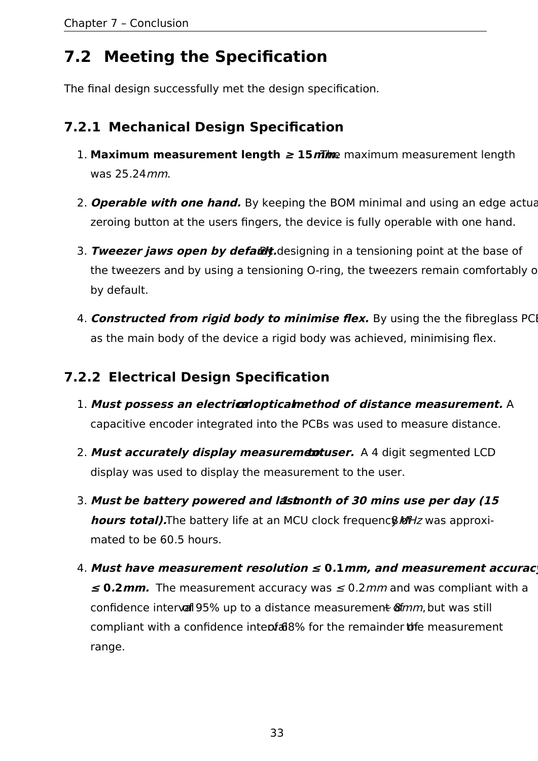### **7.2 Meeting the Specification**

The final design successfully met the design specification.

#### **7.2.1 Mechanical Design Specification**

- 1. **Maximum measurement length**  $\geq 15$  *m*The maximum measurement length was 25.24mm.
- 2. **Operable with one hand.** By keeping the BOM minimal and using an edge actuationzeroing button at the users fingers, the device is fully operable with one hand.
- 3. Tweezer jaws open by defaut designing in a tensioning point at the base of the tweezers and by using a tensioning O-ring, the tweezers remain comfortably open by default.
- 4. **Constructed from rigid body to minimise flex.** By using the the fibreglass PCI as the main body of the device a rigid body was achieved, minimising flex.

#### **7.2.2 Electrical Design Specification**

- 1. **Must possess an electrical or opticalmethod of distance measurement.** A capacitive encoder integrated into the PCBs was used to measure distance.
- 2. **Must accurately display measurementuser.** A 4 digit segmented LCD display was used to display the measurement to the user.
- 3. Must be battery powered and lastmonth of 30 mins use per day (15 **hours total).**The battery life at an MCU clock frequenc & MHz was approximated to be 60.5 hours.
- 4. **Must have measurement resolution ≤ 0.1mm, and measurement accuracy <sup>≤</sup> 0.2mm.** The measurement accuracy was ≤ 0.2mm and was compliant with a confidence interval 95% up to a distance measurement of mm, but was still compliant with a confidence intenfal 8% for the remainder of the measurement range.